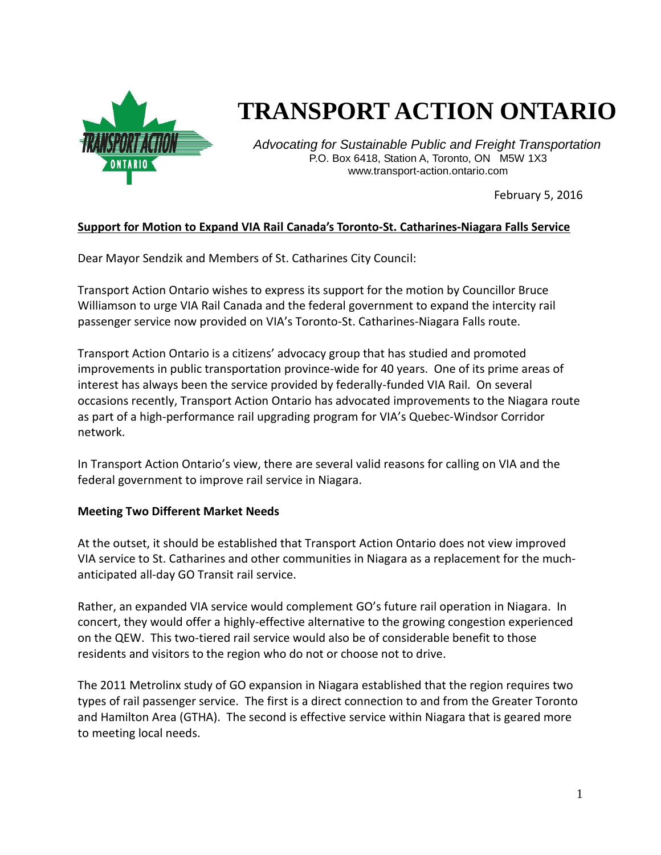

# **TRANSPORT ACTION ONTARIO**

*Advocating for Sustainable Public and Freight Transportation* P.O. Box 6418, Station A, Toronto, ON M5W 1X3 www.transport-action.ontario.com

February 5, 2016

### **Support for Motion to Expand VIA Rail Canada's Toronto-St. Catharines-Niagara Falls Service**

Dear Mayor Sendzik and Members of St. Catharines City Council:

Transport Action Ontario wishes to express its support for the motion by Councillor Bruce Williamson to urge VIA Rail Canada and the federal government to expand the intercity rail passenger service now provided on VIA's Toronto-St. Catharines-Niagara Falls route.

Transport Action Ontario is a citizens' advocacy group that has studied and promoted improvements in public transportation province-wide for 40 years. One of its prime areas of interest has always been the service provided by federally-funded VIA Rail. On several occasions recently, Transport Action Ontario has advocated improvements to the Niagara route as part of a high-performance rail upgrading program for VIA's Quebec-Windsor Corridor network.

In Transport Action Ontario's view, there are several valid reasons for calling on VIA and the federal government to improve rail service in Niagara.

#### **Meeting Two Different Market Needs**

At the outset, it should be established that Transport Action Ontario does not view improved VIA service to St. Catharines and other communities in Niagara as a replacement for the muchanticipated all-day GO Transit rail service.

Rather, an expanded VIA service would complement GO's future rail operation in Niagara. In concert, they would offer a highly-effective alternative to the growing congestion experienced on the QEW. This two-tiered rail service would also be of considerable benefit to those residents and visitors to the region who do not or choose not to drive.

The 2011 Metrolinx study of GO expansion in Niagara established that the region requires two types of rail passenger service. The first is a direct connection to and from the Greater Toronto and Hamilton Area (GTHA). The second is effective service within Niagara that is geared more to meeting local needs.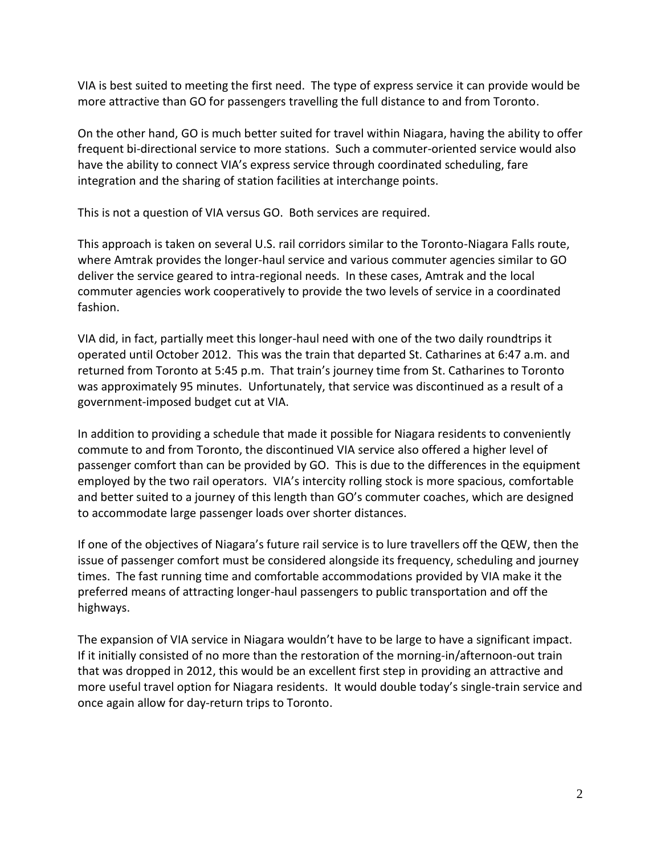VIA is best suited to meeting the first need. The type of express service it can provide would be more attractive than GO for passengers travelling the full distance to and from Toronto.

On the other hand, GO is much better suited for travel within Niagara, having the ability to offer frequent bi-directional service to more stations. Such a commuter-oriented service would also have the ability to connect VIA's express service through coordinated scheduling, fare integration and the sharing of station facilities at interchange points.

This is not a question of VIA versus GO. Both services are required.

This approach is taken on several U.S. rail corridors similar to the Toronto-Niagara Falls route, where Amtrak provides the longer-haul service and various commuter agencies similar to GO deliver the service geared to intra-regional needs. In these cases, Amtrak and the local commuter agencies work cooperatively to provide the two levels of service in a coordinated fashion.

VIA did, in fact, partially meet this longer-haul need with one of the two daily roundtrips it operated until October 2012. This was the train that departed St. Catharines at 6:47 a.m. and returned from Toronto at 5:45 p.m. That train's journey time from St. Catharines to Toronto was approximately 95 minutes. Unfortunately, that service was discontinued as a result of a government-imposed budget cut at VIA.

In addition to providing a schedule that made it possible for Niagara residents to conveniently commute to and from Toronto, the discontinued VIA service also offered a higher level of passenger comfort than can be provided by GO. This is due to the differences in the equipment employed by the two rail operators. VIA's intercity rolling stock is more spacious, comfortable and better suited to a journey of this length than GO's commuter coaches, which are designed to accommodate large passenger loads over shorter distances.

If one of the objectives of Niagara's future rail service is to lure travellers off the QEW, then the issue of passenger comfort must be considered alongside its frequency, scheduling and journey times. The fast running time and comfortable accommodations provided by VIA make it the preferred means of attracting longer-haul passengers to public transportation and off the highways.

The expansion of VIA service in Niagara wouldn't have to be large to have a significant impact. If it initially consisted of no more than the restoration of the morning-in/afternoon-out train that was dropped in 2012, this would be an excellent first step in providing an attractive and more useful travel option for Niagara residents. It would double today's single-train service and once again allow for day-return trips to Toronto.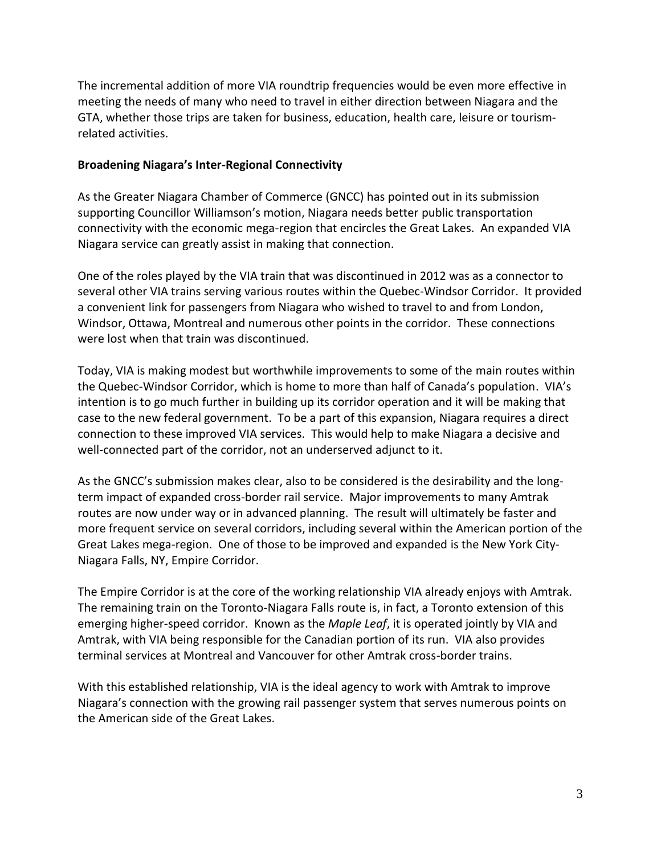The incremental addition of more VIA roundtrip frequencies would be even more effective in meeting the needs of many who need to travel in either direction between Niagara and the GTA, whether those trips are taken for business, education, health care, leisure or tourismrelated activities.

### **Broadening Niagara's Inter-Regional Connectivity**

As the Greater Niagara Chamber of Commerce (GNCC) has pointed out in its submission supporting Councillor Williamson's motion, Niagara needs better public transportation connectivity with the economic mega-region that encircles the Great Lakes. An expanded VIA Niagara service can greatly assist in making that connection.

One of the roles played by the VIA train that was discontinued in 2012 was as a connector to several other VIA trains serving various routes within the Quebec-Windsor Corridor. It provided a convenient link for passengers from Niagara who wished to travel to and from London, Windsor, Ottawa, Montreal and numerous other points in the corridor. These connections were lost when that train was discontinued.

Today, VIA is making modest but worthwhile improvements to some of the main routes within the Quebec-Windsor Corridor, which is home to more than half of Canada's population. VIA's intention is to go much further in building up its corridor operation and it will be making that case to the new federal government. To be a part of this expansion, Niagara requires a direct connection to these improved VIA services. This would help to make Niagara a decisive and well-connected part of the corridor, not an underserved adjunct to it.

As the GNCC's submission makes clear, also to be considered is the desirability and the longterm impact of expanded cross-border rail service. Major improvements to many Amtrak routes are now under way or in advanced planning. The result will ultimately be faster and more frequent service on several corridors, including several within the American portion of the Great Lakes mega-region. One of those to be improved and expanded is the New York City-Niagara Falls, NY, Empire Corridor.

The Empire Corridor is at the core of the working relationship VIA already enjoys with Amtrak. The remaining train on the Toronto-Niagara Falls route is, in fact, a Toronto extension of this emerging higher-speed corridor. Known as the *Maple Leaf*, it is operated jointly by VIA and Amtrak, with VIA being responsible for the Canadian portion of its run. VIA also provides terminal services at Montreal and Vancouver for other Amtrak cross-border trains.

With this established relationship, VIA is the ideal agency to work with Amtrak to improve Niagara's connection with the growing rail passenger system that serves numerous points on the American side of the Great Lakes.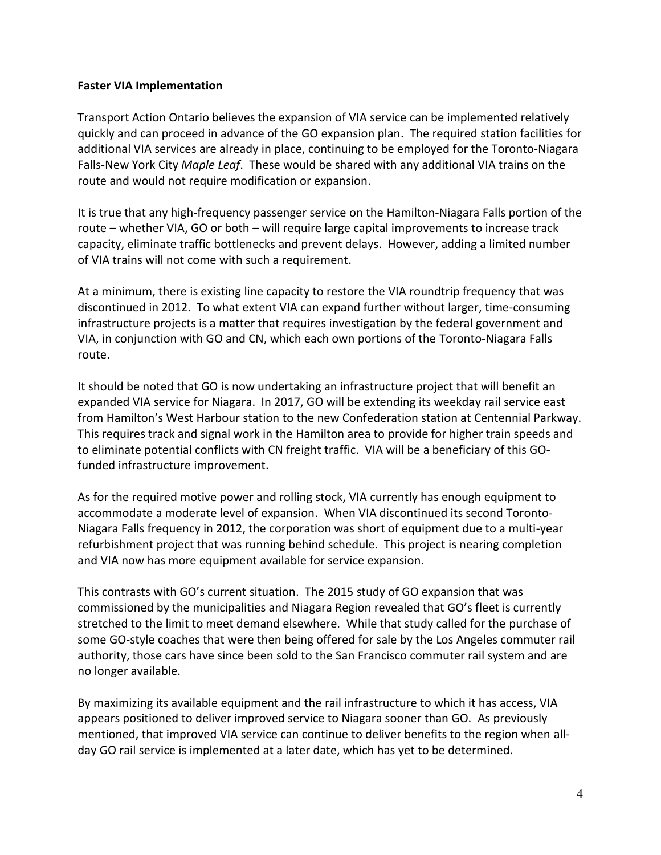### **Faster VIA Implementation**

Transport Action Ontario believes the expansion of VIA service can be implemented relatively quickly and can proceed in advance of the GO expansion plan. The required station facilities for additional VIA services are already in place, continuing to be employed for the Toronto-Niagara Falls-New York City *Maple Leaf*. These would be shared with any additional VIA trains on the route and would not require modification or expansion.

It is true that any high-frequency passenger service on the Hamilton-Niagara Falls portion of the route – whether VIA, GO or both – will require large capital improvements to increase track capacity, eliminate traffic bottlenecks and prevent delays. However, adding a limited number of VIA trains will not come with such a requirement.

At a minimum, there is existing line capacity to restore the VIA roundtrip frequency that was discontinued in 2012. To what extent VIA can expand further without larger, time-consuming infrastructure projects is a matter that requires investigation by the federal government and VIA, in conjunction with GO and CN, which each own portions of the Toronto-Niagara Falls route.

It should be noted that GO is now undertaking an infrastructure project that will benefit an expanded VIA service for Niagara. In 2017, GO will be extending its weekday rail service east from Hamilton's West Harbour station to the new Confederation station at Centennial Parkway. This requires track and signal work in the Hamilton area to provide for higher train speeds and to eliminate potential conflicts with CN freight traffic. VIA will be a beneficiary of this GOfunded infrastructure improvement.

As for the required motive power and rolling stock, VIA currently has enough equipment to accommodate a moderate level of expansion. When VIA discontinued its second Toronto-Niagara Falls frequency in 2012, the corporation was short of equipment due to a multi-year refurbishment project that was running behind schedule. This project is nearing completion and VIA now has more equipment available for service expansion.

This contrasts with GO's current situation. The 2015 study of GO expansion that was commissioned by the municipalities and Niagara Region revealed that GO's fleet is currently stretched to the limit to meet demand elsewhere. While that study called for the purchase of some GO-style coaches that were then being offered for sale by the Los Angeles commuter rail authority, those cars have since been sold to the San Francisco commuter rail system and are no longer available.

By maximizing its available equipment and the rail infrastructure to which it has access, VIA appears positioned to deliver improved service to Niagara sooner than GO. As previously mentioned, that improved VIA service can continue to deliver benefits to the region when allday GO rail service is implemented at a later date, which has yet to be determined.